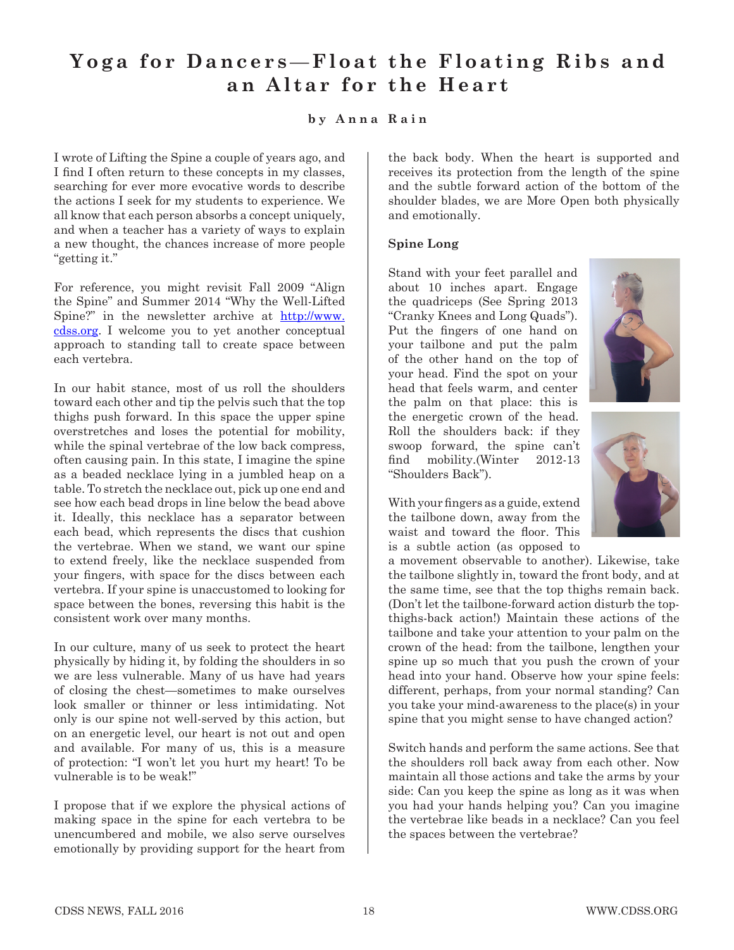# Yoga for Dancers—Float the Floating Ribs and **an Altar for the Heart**

## **by Anna Rain**

I wrote of Lifting the Spine a couple of years ago, and I find I often return to these concepts in my classes, searching for ever more evocative words to describe the actions I seek for my students to experience. We all know that each person absorbs a concept uniquely, and when a teacher has a variety of ways to explain a new thought, the chances increase of more people "getting it."

For reference, you might revisit Fall 2009 "Align the Spine" and Summer 2014 "Why the Well-Lifted Spine?" in the newsletter archive at http://www. cdss.org. I welcome you to yet another conceptual approach to standing tall to create space between each vertebra.

In our habit stance, most of us roll the shoulders toward each other and tip the pelvis such that the top thighs push forward. In this space the upper spine overstretches and loses the potential for mobility, while the spinal vertebrae of the low back compress, often causing pain. In this state, I imagine the spine as a beaded necklace lying in a jumbled heap on a table. To stretch the necklace out, pick up one end and see how each bead drops in line below the bead above it. Ideally, this necklace has a separator between each bead, which represents the discs that cushion the vertebrae. When we stand, we want our spine to extend freely, like the necklace suspended from your fingers, with space for the discs between each vertebra. If your spine is unaccustomed to looking for space between the bones, reversing this habit is the consistent work over many months.

In our culture, many of us seek to protect the heart physically by hiding it, by folding the shoulders in so we are less vulnerable. Many of us have had years of closing the chest—sometimes to make ourselves look smaller or thinner or less intimidating. Not only is our spine not well-served by this action, but on an energetic level, our heart is not out and open and available. For many of us, this is a measure of protection: "I won't let you hurt my heart! To be vulnerable is to be weak!"

I propose that if we explore the physical actions of making space in the spine for each vertebra to be unencumbered and mobile, we also serve ourselves emotionally by providing support for the heart from

the back body. When the heart is supported and receives its protection from the length of the spine and the subtle forward action of the bottom of the shoulder blades, we are More Open both physically and emotionally.

#### **Spine Long**

Stand with your feet parallel and about 10 inches apart. Engage the quadriceps (See Spring 2013 "Cranky Knees and Long Quads"). Put the fingers of one hand on your tailbone and put the palm of the other hand on the top of your head. Find the spot on your head that feels warm, and center the palm on that place: this is the energetic crown of the head. Roll the shoulders back: if they swoop forward, the spine can't find mobility.(Winter 2012-13 "Shoulders Back").



With your fingers as a guide, extend the tailbone down, away from the waist and toward the floor. This is a subtle action (as opposed to

a movement observable to another). Likewise, take the tailbone slightly in, toward the front body, and at the same time, see that the top thighs remain back. (Don't let the tailbone-forward action disturb the topthighs-back action!) Maintain these actions of the tailbone and take your attention to your palm on the crown of the head: from the tailbone, lengthen your spine up so much that you push the crown of your head into your hand. Observe how your spine feels: different, perhaps, from your normal standing? Can you take your mind-awareness to the place(s) in your spine that you might sense to have changed action?

Switch hands and perform the same actions. See that the shoulders roll back away from each other. Now maintain all those actions and take the arms by your side: Can you keep the spine as long as it was when you had your hands helping you? Can you imagine the vertebrae like beads in a necklace? Can you feel the spaces between the vertebrae?